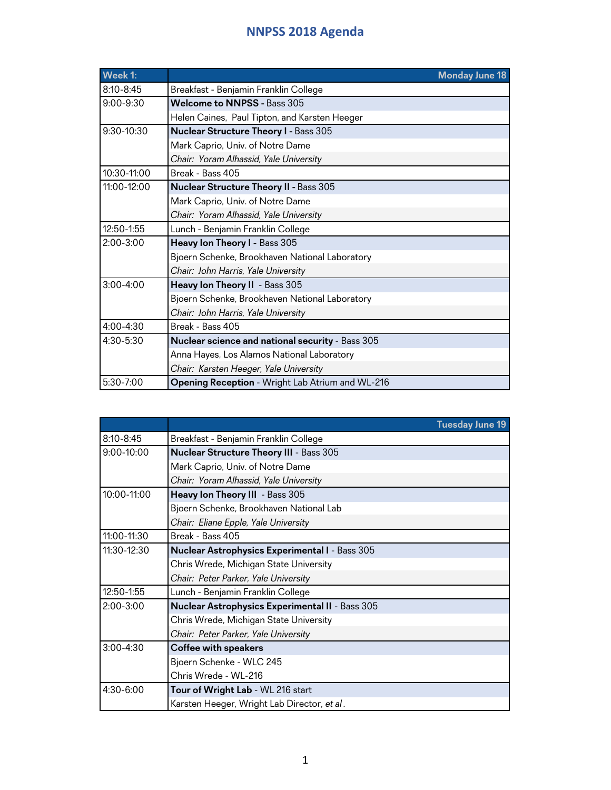| Week 1:       |                                                  | <b>Monday June 18</b> |
|---------------|--------------------------------------------------|-----------------------|
| $8:10 - 8:45$ | Breakfast - Benjamin Franklin College            |                       |
| $9:00 - 9:30$ | <b>Welcome to NNPSS - Bass 305</b>               |                       |
|               | Helen Caines, Paul Tipton, and Karsten Heeger    |                       |
| 9:30-10:30    | <b>Nuclear Structure Theory I - Bass 305</b>     |                       |
|               | Mark Caprio, Univ. of Notre Dame                 |                       |
|               | Chair: Yoram Alhassid, Yale University           |                       |
| 10:30-11:00   | Break - Bass 405                                 |                       |
| 11:00-12:00   | <b>Nuclear Structure Theory II - Bass 305</b>    |                       |
|               | Mark Caprio, Univ. of Notre Dame                 |                       |
|               | Chair: Yoram Alhassid, Yale University           |                       |
| 12:50-1:55    | Lunch - Benjamin Franklin College                |                       |
| $2:00 - 3:00$ | Heavy Ion Theory I - Bass 305                    |                       |
|               | Bjoern Schenke, Brookhaven National Laboratory   |                       |
|               | Chair: John Harris, Yale University              |                       |
| $3:00 - 4:00$ | Heavy Ion Theory II - Bass 305                   |                       |
|               | Bjoern Schenke, Brookhaven National Laboratory   |                       |
|               | Chair: John Harris, Yale University              |                       |
| 4:00-4:30     | Break - Bass 405                                 |                       |
| $4:30 - 5:30$ | Nuclear science and national security - Bass 305 |                       |
|               | Anna Hayes, Los Alamos National Laboratory       |                       |
|               | Chair: Karsten Heeger, Yale University           |                       |
| 5:30-7:00     | Opening Reception - Wright Lab Atrium and WL-216 |                       |

|                |                                                        | <b>Tuesday June 19</b> |
|----------------|--------------------------------------------------------|------------------------|
| $8:10 - 8:45$  | Breakfast - Benjamin Franklin College                  |                        |
| $9:00 - 10:00$ | <b>Nuclear Structure Theory III - Bass 305</b>         |                        |
|                | Mark Caprio, Univ. of Notre Dame                       |                        |
|                | Chair: Yoram Alhassid, Yale University                 |                        |
| 10:00-11:00    | Heavy Ion Theory III - Bass 305                        |                        |
|                | Bjoern Schenke, Brookhaven National Lab                |                        |
|                | Chair: Eliane Epple, Yale University                   |                        |
| 11:00-11:30    | Break - Bass 405                                       |                        |
| 11:30-12:30    | <b>Nuclear Astrophysics Experimental I - Bass 305</b>  |                        |
|                | Chris Wrede, Michigan State University                 |                        |
|                | Chair: Peter Parker, Yale University                   |                        |
| 12:50-1:55     | Lunch - Benjamin Franklin College                      |                        |
| $2:00 - 3:00$  | <b>Nuclear Astrophysics Experimental II - Bass 305</b> |                        |
|                | Chris Wrede, Michigan State University                 |                        |
|                | Chair: Peter Parker, Yale University                   |                        |
| $3:00 - 4:30$  | <b>Coffee with speakers</b>                            |                        |
|                | Bjoern Schenke - WLC 245                               |                        |
|                | Chris Wrede - WL-216                                   |                        |
| 4:30-6:00      | Tour of Wright Lab - WL 216 start                      |                        |
|                | Karsten Heeger, Wright Lab Director, et al.            |                        |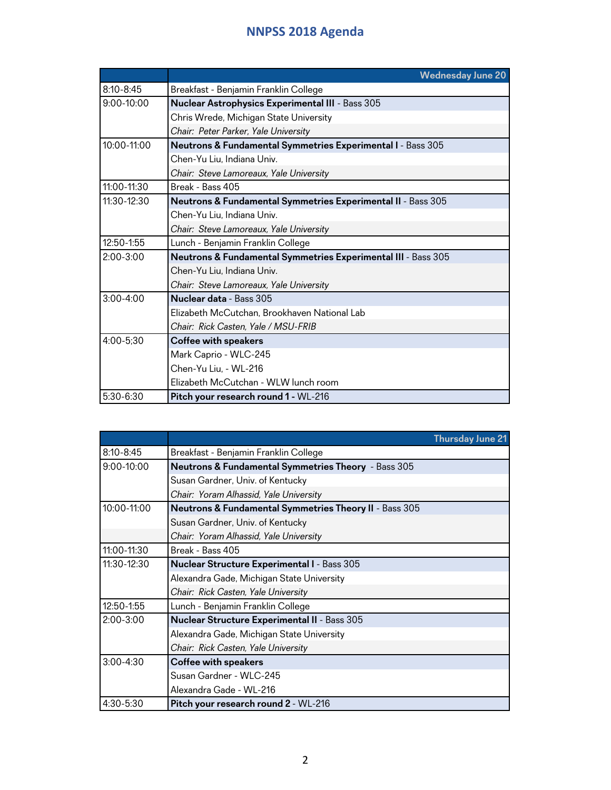|               | <b>Wednesday June 20</b>                                      |
|---------------|---------------------------------------------------------------|
| $8:10 - 8:45$ | Breakfast - Benjamin Franklin College                         |
| $9:00-10:00$  | Nuclear Astrophysics Experimental III - Bass 305              |
|               | Chris Wrede, Michigan State University                        |
|               | Chair: Peter Parker, Yale University                          |
| 10:00-11:00   | Neutrons & Fundamental Symmetries Experimental I - Bass 305   |
|               | Chen-Yu Liu, Indiana Univ.                                    |
|               | Chair: Steve Lamoreaux, Yale University                       |
| 11:00-11:30   | Break - Bass 405                                              |
| $11:30-12:30$ | Neutrons & Fundamental Symmetries Experimental II - Bass 305  |
|               | Chen-Yu Liu, Indiana Univ.                                    |
|               | Chair: Steve Lamoreaux, Yale University                       |
| 12:50-1:55    | Lunch - Benjamin Franklin College                             |
| $2:00 - 3:00$ | Neutrons & Fundamental Symmetries Experimental III - Bass 305 |
|               | Chen-Yu Liu, Indiana Univ.                                    |
|               | Chair: Steve Lamoreaux, Yale University                       |
| $3:00 - 4:00$ | <b>Nuclear data - Bass 305</b>                                |
|               | Elizabeth McCutchan, Brookhaven National Lab                  |
|               | Chair: Rick Casten, Yale / MSU-FRIB                           |
| 4:00-5;30     | <b>Coffee with speakers</b>                                   |
|               | Mark Caprio - WLC-245                                         |
|               | Chen-Yu Liu, - WL-216                                         |
|               | Flizabeth McCutchan - WI W lunch room                         |
| 5:30-6:30     | Pitch your research round 1 - WL-216                          |

|                |                                                                   | <b>Thursday June 21</b> |
|----------------|-------------------------------------------------------------------|-------------------------|
| $8:10 - 8:45$  | Breakfast - Benjamin Franklin College                             |                         |
| $9:00 - 10:00$ | Neutrons & Fundamental Symmetries Theory - Bass 305               |                         |
|                | Susan Gardner, Univ. of Kentucky                                  |                         |
|                | Chair: Yoram Alhassid, Yale University                            |                         |
| 10:00-11:00    | <b>Neutrons &amp; Fundamental Symmetries Theory II - Bass 305</b> |                         |
|                | Susan Gardner, Univ. of Kentucky                                  |                         |
|                | Chair: Yoram Alhassid, Yale University                            |                         |
| 11:00-11:30    | Break - Bass 405                                                  |                         |
| 11:30-12:30    | <b>Nuclear Structure Experimental I - Bass 305</b>                |                         |
|                | Alexandra Gade, Michigan State University                         |                         |
|                | Chair: Rick Casten, Yale University                               |                         |
| 12:50-1:55     | Lunch - Benjamin Franklin College                                 |                         |
| $2:00 - 3:00$  | <b>Nuclear Structure Experimental II - Bass 305</b>               |                         |
|                | Alexandra Gade, Michigan State University                         |                         |
|                | Chair: Rick Casten, Yale University                               |                         |
| $3:00 - 4:30$  | <b>Coffee with speakers</b>                                       |                         |
|                | Susan Gardner - WLC-245                                           |                         |
|                | Alexandra Gade - WL-216                                           |                         |
| 4:30-5:30      | Pitch your research round 2 - WL-216                              |                         |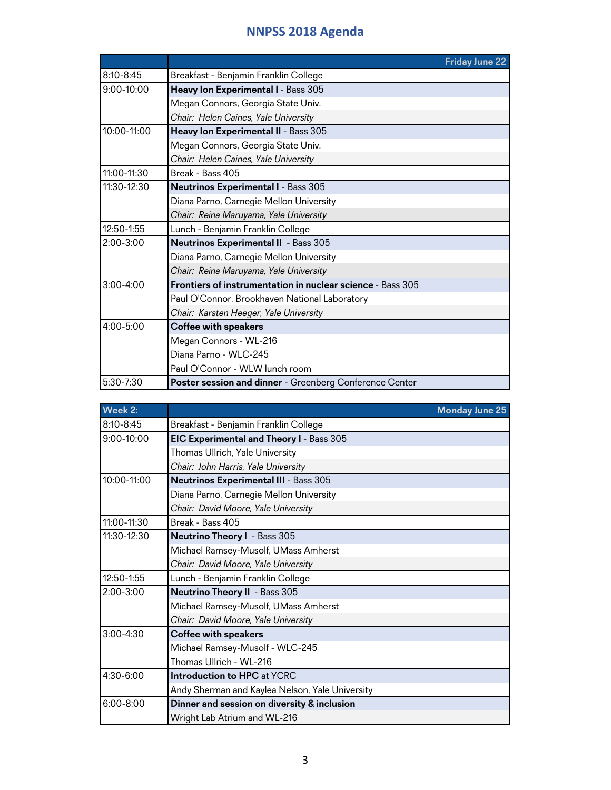|               | <b>Friday June 22</b>                                      |
|---------------|------------------------------------------------------------|
| 8:10-8:45     | Breakfast - Benjamin Franklin College                      |
| $9:00-10:00$  | Heavy Ion Experimental I - Bass 305                        |
|               | Megan Connors, Georgia State Univ.                         |
|               | Chair: Helen Caines, Yale University                       |
| 10:00-11:00   | Heavy Ion Experimental II - Bass 305                       |
|               | Megan Connors, Georgia State Univ.                         |
|               | Chair: Helen Caines, Yale University                       |
| 11:00-11:30   | Break - Bass 405                                           |
| 11:30-12:30   | Neutrinos Experimental I - Bass 305                        |
|               | Diana Parno, Carnegie Mellon University                    |
|               | Chair: Reina Maruyama, Yale University                     |
| 12:50-1:55    | Lunch - Benjamin Franklin College                          |
| $2:00 - 3:00$ | <b>Neutrinos Experimental II</b> - Bass 305                |
|               | Diana Parno, Carnegie Mellon University                    |
|               | Chair: Reina Maruyama, Yale University                     |
| $3:00 - 4:00$ | Frontiers of instrumentation in nuclear science - Bass 305 |
|               | Paul O'Connor, Brookhaven National Laboratory              |
|               | Chair: Karsten Heeger, Yale University                     |
| $4:00 - 5:00$ | <b>Coffee with speakers</b>                                |
|               | Megan Connors - WL-216                                     |
|               | Diana Parno - WLC-245                                      |
|               | Paul O'Connor - WLW lunch room                             |
| 5:30-7:30     | Poster session and dinner - Greenberg Conference Center    |

| Week 2:        |                                                 | <b>Monday June 25</b> |
|----------------|-------------------------------------------------|-----------------------|
| $8:10 - 8:45$  | Breakfast - Benjamin Franklin College           |                       |
| $9:00 - 10:00$ | EIC Experimental and Theory I - Bass 305        |                       |
|                | Thomas Ullrich, Yale University                 |                       |
|                | Chair: John Harris, Yale University             |                       |
| 10:00-11:00    | <b>Neutrinos Experimental III - Bass 305</b>    |                       |
|                | Diana Parno, Carnegie Mellon University         |                       |
|                | Chair: David Moore, Yale University             |                       |
| 11:00-11:30    | Break - Bass 405                                |                       |
| 11:30-12:30    | <b>Neutrino Theory I</b> - Bass 305             |                       |
|                | Michael Ramsey-Musolf, UMass Amherst            |                       |
|                | Chair: David Moore, Yale University             |                       |
| 12:50-1:55     | Lunch - Benjamin Franklin College               |                       |
| $2:00 - 3:00$  | <b>Neutrino Theory II - Bass 305</b>            |                       |
|                | Michael Ramsey-Musolf, UMass Amherst            |                       |
|                | Chair: David Moore, Yale University             |                       |
| $3:00 - 4:30$  | <b>Coffee with speakers</b>                     |                       |
|                | Michael Ramsey-Musolf - WLC-245                 |                       |
|                | Thomas Ullrich - WL-216                         |                       |
| $4:30 - 6:00$  | <b>Introduction to HPC at YCRC</b>              |                       |
|                | Andy Sherman and Kaylea Nelson, Yale University |                       |
| $6:00 - 8:00$  | Dinner and session on diversity & inclusion     |                       |
|                | Wright Lab Atrium and WL-216                    |                       |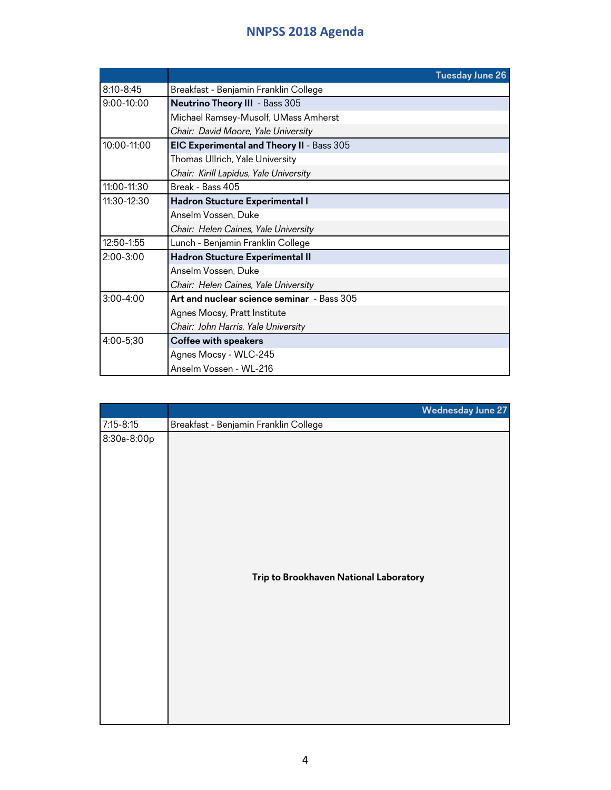|               | <b>Tuesday June 26</b>                     |  |
|---------------|--------------------------------------------|--|
| $8:10 - 8:45$ | Breakfast - Benjamin Franklin College      |  |
| 9:00-10:00    | <b>Neutrino Theory III</b> - Bass 305      |  |
|               | Michael Ramsey-Musolf, UMass Amherst       |  |
|               | Chair: David Moore, Yale University        |  |
| 10:00-11:00   | EIC Experimental and Theory II - Bass 305  |  |
|               | Thomas Ullrich, Yale University            |  |
|               | Chair: Kirill Lapidus, Yale University     |  |
| 11:00-11:30   | Break - Bass 405                           |  |
| 11:30-12:30   | Hadron Stucture Experimental I             |  |
|               | Anselm Vossen, Duke                        |  |
|               | Chair: Helen Caines, Yale University       |  |
| 12:50-1:55    | Lunch - Benjamin Franklin College          |  |
| $2:00 - 3:00$ | Hadron Stucture Experimental II            |  |
|               | Anselm Vossen, Duke                        |  |
|               | Chair: Helen Caines, Yale University       |  |
| $3:00 - 4:00$ | Art and nuclear science seminar - Bass 305 |  |
|               | Agnes Mocsy, Pratt Institute               |  |
|               | Chair: John Harris, Yale University        |  |
| 4:00-5;30     | <b>Coffee with speakers</b>                |  |
|               | Agnes Mocsy - WLC-245                      |  |
|               | Anselm Vossen - WL-216                     |  |

|               | <b>Wednesday June 27</b>               |
|---------------|----------------------------------------|
| $7:15 - 8:15$ | Breakfast - Benjamin Franklin College  |
| 8:30a-8:00p   | Trip to Brookhaven National Laboratory |